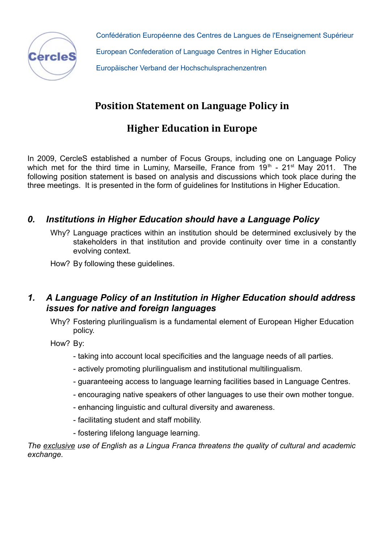

Confédération Européenne des Centres de Langues de l'Enseignement Supérieur European Confederation of Language Centres in Higher Education Europäischer Verband der Hochschulsprachenzentren

# **Position Statement on Language Policy in**

# **Higher Education in Europe**

In 2009, CercleS established a number of Focus Groups, including one on Language Policy which met for the third time in Luminy. Marseille, France from  $19<sup>th</sup>$  - 21<sup>st</sup> May 2011. The following position statement is based on analysis and discussions which took place during the three meetings. It is presented in the form of guidelines for Institutions in Higher Education.

## *0. Institutions in Higher Education should have a Language Policy*

Why? Language practices within an institution should be determined exclusively by the stakeholders in that institution and provide continuity over time in a constantly evolving context.

How? By following these guidelines.

## *1. A Language Policy of an Institution in Higher Education should address issues for native and foreign languages*

Why? Fostering plurilingualism is a fundamental element of European Higher Education policy.

How? By:

- taking into account local specificities and the language needs of all parties.
- actively promoting plurilingualism and institutional multilingualism.
- guaranteeing access to language learning facilities based in Language Centres.
- encouraging native speakers of other languages to use their own mother tongue.
- enhancing linguistic and cultural diversity and awareness.
- facilitating student and staff mobility.
- fostering lifelong language learning.

*The exclusive use of English as a Lingua Franca threatens the quality of cultural and academic exchange.*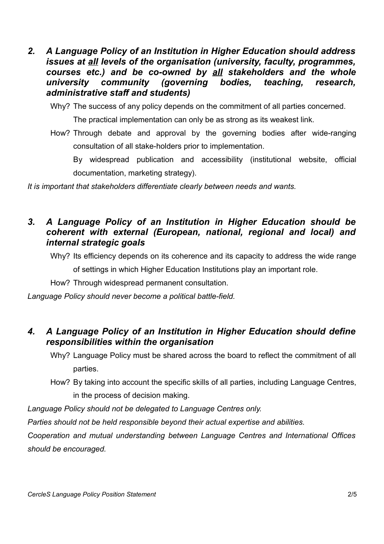*2. A Language Policy of an Institution in Higher Education should address issues at all levels of the organisation (university, faculty, programmes, courses etc.) and be co-owned by all stakeholders and the whole university community (governing bodies, teaching, research, administrative staff and students)*

Why? The success of any policy depends on the commitment of all parties concerned.

The practical implementation can only be as strong as its weakest link.

How? Through debate and approval by the governing bodies after wide-ranging consultation of all stake-holders prior to implementation.

By widespread publication and accessibility (institutional website, official documentation, marketing strategy).

*It is important that stakeholders differentiate clearly between needs and wants.*

## *3. A Language Policy of an Institution in Higher Education should be coherent with external (European, national, regional and local) and internal strategic goals*

Why? Its efficiency depends on its coherence and its capacity to address the wide range

of settings in which Higher Education Institutions play an important role.

How? Through widespread permanent consultation.

*Language Policy should never become a political battle-field.*

## *4. A Language Policy of an Institution in Higher Education should define responsibilities within the organisation*

Why? Language Policy must be shared across the board to reflect the commitment of all parties.

How? By taking into account the specific skills of all parties, including Language Centres, in the process of decision making.

*Language Policy should not be delegated to Language Centres only.* 

*Parties should not be held responsible beyond their actual expertise and abilities.* 

*Cooperation and mutual understanding between Language Centres and International Offices should be encouraged.*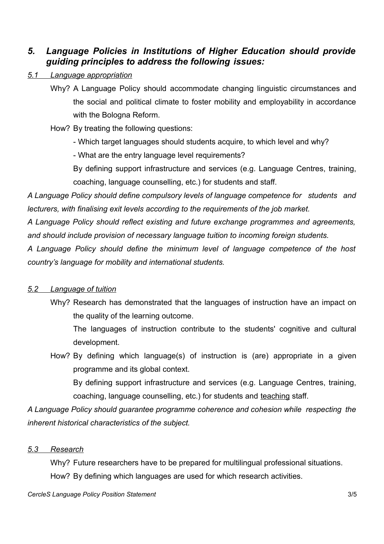## *5. Language Policies in Institutions of Higher Education should provide guiding principles to address the following issues:*

#### *5.1 Language appropriation*

- Why? A Language Policy should accommodate changing linguistic circumstances and the social and political climate to foster mobility and employability in accordance with the Bologna Reform.
- How? By treating the following questions:
	- Which target languages should students acquire, to which level and why?
	- What are the entry language level requirements?

By defining support infrastructure and services (e.g. Language Centres, training, coaching, language counselling, etc.) for students and staff.

*A Language Policy should define compulsory levels of language competence for students and lecturers, with finalising exit levels according to the requirements of the job market.*

*A Language Policy should reflect existing and future exchange programmes and agreements, and should include provision of necessary language tuition to incoming foreign students.*

*A Language Policy should define the minimum level of language competence of the host country's language for mobility and international students.*

#### *5.2 Language of tuition*

Why? Research has demonstrated that the languages of instruction have an impact on the quality of the learning outcome.

The languages of instruction contribute to the students' cognitive and cultural development.

How? By defining which language(s) of instruction is (are) appropriate in a given programme and its global context.

By defining support infrastructure and services (e.g. Language Centres, training, coaching, language counselling, etc.) for students and teaching staff.

*A Language Policy should guarantee programme coherence and cohesion while respecting the inherent historical characteristics of the subject.*

#### *5.3 Research*

Why? Future researchers have to be prepared for multilingual professional situations.

How? By defining which languages are used for which research activities.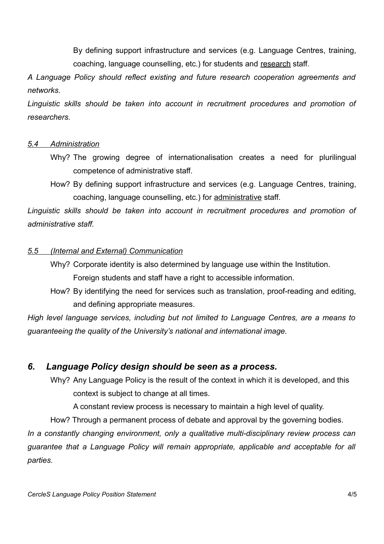By defining support infrastructure and services (e.g. Language Centres, training, coaching, language counselling, etc.) for students and research staff.

*A Language Policy should reflect existing and future research cooperation agreements and networks.* 

*Linguistic skills should be taken into account in recruitment procedures and promotion of researchers.*

#### *5.4 Administration*

- Why? The growing degree of internationalisation creates a need for plurilingual competence of administrative staff.
- How? By defining support infrastructure and services (e.g. Language Centres, training, coaching, language counselling, etc.) for administrative staff.

*Linguistic skills should be taken into account in recruitment procedures and promotion of administrative staff.*

#### *5.5 (Internal and External) Communication*

Why? Corporate identity is also determined by language use within the Institution.

Foreign students and staff have a right to accessible information.

How? By identifying the need for services such as translation, proof-reading and editing, and defining appropriate measures.

*High level language services, including but not limited to Language Centres, are a means to guaranteeing the quality of the University's national and international image.*

## *6. Language Policy design should be seen as a process.*

Why? Any Language Policy is the result of the context in which it is developed, and this context is subject to change at all times.

A constant review process is necessary to maintain a high level of quality.

How? Through a permanent process of debate and approval by the governing bodies.

*In a constantly changing environment, only a qualitative multi-disciplinary review process can guarantee that a Language Policy will remain appropriate, applicable and acceptable for all parties.*